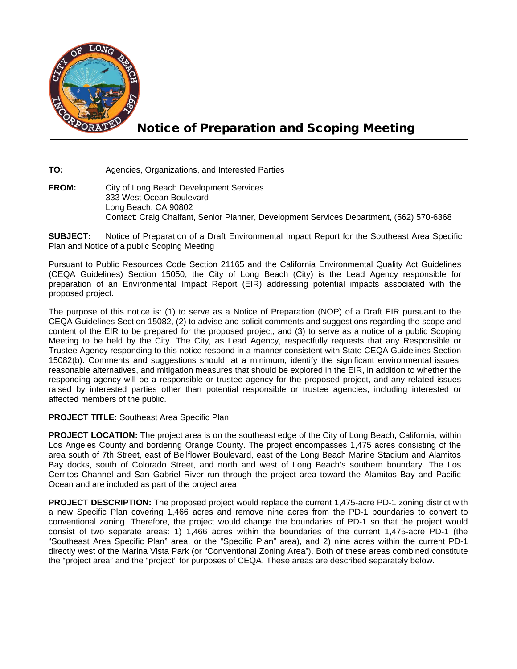

## Notice of Preparation and Scoping Meeting

**TO:** Agencies, Organizations, and Interested Parties

**FROM:** City of Long Beach Development Services 333 West Ocean Boulevard Long Beach, CA 90802 Contact: Craig Chalfant, Senior Planner, Development Services Department, (562) 570-6368

**SUBJECT:** Notice of Preparation of a Draft Environmental Impact Report for the Southeast Area Specific Plan and Notice of a public Scoping Meeting

Pursuant to Public Resources Code Section 21165 and the California Environmental Quality Act Guidelines (CEQA Guidelines) Section 15050, the City of Long Beach (City) is the Lead Agency responsible for preparation of an Environmental Impact Report (EIR) addressing potential impacts associated with the proposed project.

The purpose of this notice is: (1) to serve as a Notice of Preparation (NOP) of a Draft EIR pursuant to the CEQA Guidelines Section 15082, (2) to advise and solicit comments and suggestions regarding the scope and content of the EIR to be prepared for the proposed project, and (3) to serve as a notice of a public Scoping Meeting to be held by the City. The City, as Lead Agency, respectfully requests that any Responsible or Trustee Agency responding to this notice respond in a manner consistent with State CEQA Guidelines Section 15082(b). Comments and suggestions should, at a minimum, identify the significant environmental issues, reasonable alternatives, and mitigation measures that should be explored in the EIR, in addition to whether the responding agency will be a responsible or trustee agency for the proposed project, and any related issues raised by interested parties other than potential responsible or trustee agencies, including interested or affected members of the public.

## **PROJECT TITLE:** Southeast Area Specific Plan

**PROJECT LOCATION:** The project area is on the southeast edge of the City of Long Beach, California, within Los Angeles County and bordering Orange County. The project encompasses 1,475 acres consisting of the area south of 7th Street, east of Bellflower Boulevard, east of the Long Beach Marine Stadium and Alamitos Bay docks, south of Colorado Street, and north and west of Long Beach's southern boundary. The Los Cerritos Channel and San Gabriel River run through the project area toward the Alamitos Bay and Pacific Ocean and are included as part of the project area.

**PROJECT DESCRIPTION:** The proposed project would replace the current 1,475-acre PD-1 zoning district with a new Specific Plan covering 1,466 acres and remove nine acres from the PD-1 boundaries to convert to conventional zoning. Therefore, the project would change the boundaries of PD-1 so that the project would consist of two separate areas: 1) 1,466 acres within the boundaries of the current 1,475-acre PD-1 (the "Southeast Area Specific Plan" area, or the "Specific Plan" area), and 2) nine acres within the current PD-1 directly west of the Marina Vista Park (or "Conventional Zoning Area"). Both of these areas combined constitute the "project area" and the "project" for purposes of CEQA. These areas are described separately below.